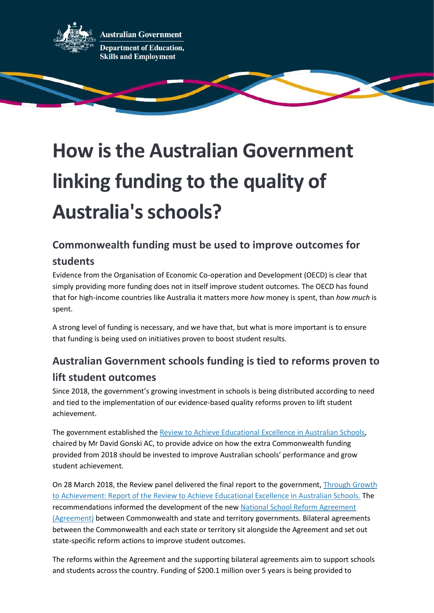

**ustralian Government Department of Education, Skills and Employment** 

# **How is the Australian Government linking funding to the quality of Australia's schools?**

# **Commonwealth funding must be used to improve outcomes for**

#### **students**

Evidence from the Organisation of Economic Co-operation and Development (OECD) is clear that simply providing more funding does not in itself improve student outcomes. The OECD has found that for high-income countries like Australia it matters more *how* money is spent, than *how much* is spent.

A strong level of funding is necessary, and we have that, but what is more important is to ensure that funding is being used on initiatives proven to boost student results.

## **Australian Government schools funding is tied to reforms proven to lift student outcomes**

Since 2018, the government's growing investment in schools is being distributed according to need and tied to the implementation of our evidence-based quality reforms proven to lift student achievement.

The government established the [Review to Achieve Educational Excellence in Australian Schools,](https://www.dese.gov.au/quality-schools-package/resources/review-achieve-educational-excellence-australian-schools) chaired by Mr David Gonski AC, to provide advice on how the extra Commonwealth funding provided from 2018 should be invested to improve Australian schools' performance and grow student achievement.

On 28 March 2018, the Review panel delivered the final report to the government, Through Growth [to Achievement: Report of the Review to Achieve Educational Excellence in Australian Schools.](https://www.dese.gov.au/uncategorised/resources/through-growth-achievement-report-review-achieve-educational-excellence-australian-schools) The recommendations informed the development of the new [National School Reform Agreement](https://www.dese.gov.au/quality-schools-package/fact-sheets/what-national-school-reform-agreement) [\(Agreement\)](https://www.dese.gov.au/quality-schools-package/fact-sheets/what-national-school-reform-agreement) between Commonwealth and state and territory governments. Bilateral agreements between the Commonwealth and each state or territory sit alongside the Agreement and set out state-specific reform actions to improve student outcomes.

The reforms within the Agreement and the supporting bilateral agreements aim to support schools and students across the country. Funding of \$200.1 million over 5 years is being provided to